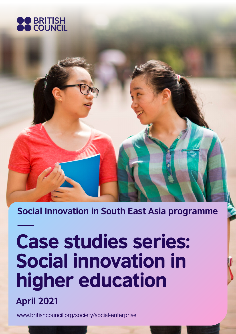

**Social Innovation in South East Asia programme**

# Case studies series: Social innovation in higher education

**April 2021**

<www.britishcouncil.org/society/social-enterprise>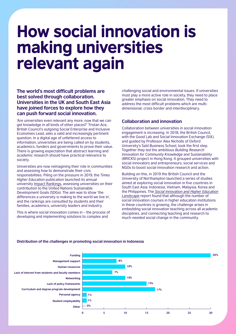# How social innovation is making universities relevant again

**The world's most difficult problems are best solved through collaboration. Universities in the UK and South East Asia have joined forces to explore how they can push forward social innovation.** 

'Are universities even relevant any more, now that we can get knowledge in all kinds of other places?' Tristan Ace, British Council's outgoing Social Enterprise and Inclusive Economies Lead, asks a valid and increasingly pertinent question. In a digital age of unfettered access to information, universities are being called on by students, academics, funders and governments to prove their value. There is growing expectation that abstract learning and academic research should have practical relevance to society.

Universities are now reimagining their role in communities and assessing how to demonstrate their civic responsibilities. Piling on the pressure in 2019, the *Times Higher Education* publication launched its annual university [Impact Rankings,](https://www.timeshighereducation.com/impactrankings#!/page/0/length/25/sort_by/rank/sort_order/asc/cols/undefined) assessing universities on their contribution to the United Nations Sustainable Development Goals (SDGs). The aim was to show 'the differences a university is making to the world we live in', and the rankings are consulted by students and their families, academics, university leaders and industry.

This is where social innovation comes in – the process of developing and implementing solutions to complex and

challenging social and environmental issues. If universities must play a more active role in society, they need to place greater emphasis on social innovation. They need to address the most difficult problems which are multidimensional, cross border and interdisciplinary.

# **Collaboration and innovation**

Collaboration between universities in social innovation engagement is increasing. In 2018, the British Council, with the Good Lab and Social Innovation Exchange (SIX), and guided by Professor Alex Nicholls of Oxford University's Saïd Business School, took the first step. Together they led the ambitious *Building Research Innovation for Community Knowledge and Sustainability*  (BRICKS) project in Hong Kong. It grouped universities with social innovators and entrepreneurs, social services and NGOs to boost social innovation research and action.

Building on this, in 2019 the British Council and the University of Northampton launched a series of studies aimed at exploring social innovation in five countries in South East Asia: Indonesia, Vietnam, Malaysia, Korea and the Philippines. The *[Social Innovation and Higher Education](https://www.britishcouncil.id/en/programmes/society/promoting-social-enterprise-foster-inclusive-development/social-innovation-and)  [Landscape](https://www.britishcouncil.id/en/programmes/society/promoting-social-enterprise-foster-inclusive-development/social-innovation-and)* report found that although the number of social innovation courses in higher education institutions in these countries is growing, the challenge arises in embedding social innovation teaching across all academic disciplines, and connecting teaching and research to much-needed social change in the community.



#### **Distribution of the challenges in promoting social innovation in Indonesia**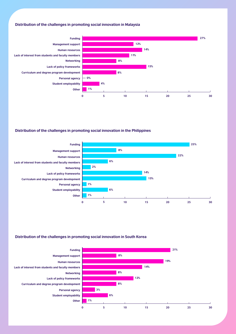#### **Distribution of the challenges in promoting social innovation in Malaysia**



#### **Distribution of the challenges in promoting social innovation in the Philippines**



#### **Distribution of the challenges in promoting social innovation in South Korea**